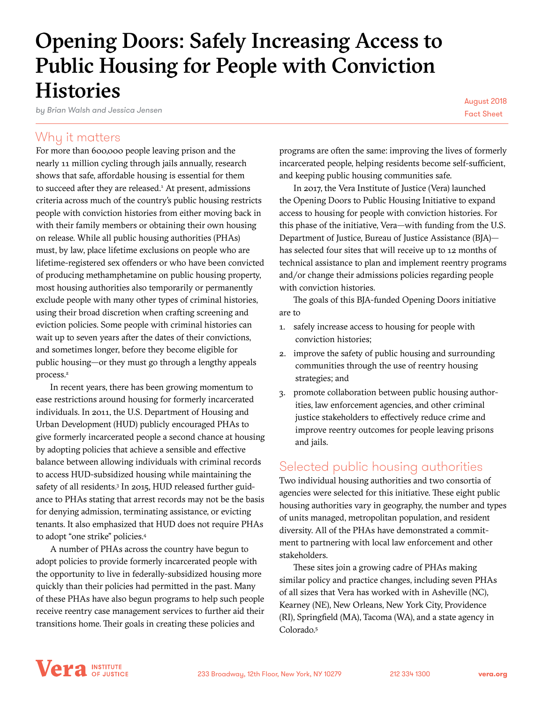# Opening Doors: Safely Increasing Access to Public Housing for People with Conviction **Histories**

*by Brian Walsh and Jessica Jensen*

August 2018 Fact Sheet

### Why it matters

For more than 600,000 people leaving prison and the nearly 11 million cycling through jails annually, research shows that safe, affordable housing is essential for them to succeed after they are released.<sup>1</sup> At present, admissions criteria across much of the country's public housing restricts people with conviction histories from either moving back in with their family members or obtaining their own housing on release. While all public housing authorities (PHAs) must, by law, place lifetime exclusions on people who are lifetime-registered sex offenders or who have been convicted of producing methamphetamine on public housing property, most housing authorities also temporarily or permanently exclude people with many other types of criminal histories, using their broad discretion when crafting screening and eviction policies. Some people with criminal histories can wait up to seven years after the dates of their convictions, and sometimes longer, before they become eligible for public housing—or they must go through a lengthy appeals process.<sup>2</sup>

In recent years, there has been growing momentum to ease restrictions around housing for formerly incarcerated individuals. In 2011, the U.S. Department of Housing and Urban Development (HUD) publicly encouraged PHAs to give formerly incarcerated people a second chance at housing by adopting policies that achieve a sensible and effective balance between allowing individuals with criminal records to access HUD-subsidized housing while maintaining the safety of all residents.<sup>3</sup> In 2015, HUD released further guidance to PHAs stating that arrest records may not be the basis for denying admission, terminating assistance, or evicting tenants. It also emphasized that HUD does not require PHAs to adopt "one strike" policies.4

A number of PHAs across the country have begun to adopt policies to provide formerly incarcerated people with the opportunity to live in federally-subsidized housing more quickly than their policies had permitted in the past. Many of these PHAs have also begun programs to help such people receive reentry case management services to further aid their transitions home. Their goals in creating these policies and

programs are often the same: improving the lives of formerly incarcerated people, helping residents become self-sufficient, and keeping public housing communities safe.

In 2017, the Vera Institute of Justice (Vera) launched the Opening Doors to Public Housing Initiative to expand access to housing for people with conviction histories. For this phase of the initiative, Vera—with funding from the U.S. Department of Justice, Bureau of Justice Assistance (BJA) has selected four sites that will receive up to 12 months of technical assistance to plan and implement reentry programs and/or change their admissions policies regarding people with conviction histories.

The goals of this BJA-funded Opening Doors initiative are to

- 1. safely increase access to housing for people with conviction histories;
- 2. improve the safety of public housing and surrounding communities through the use of reentry housing strategies; and
- 3. promote collaboration between public housing authorities, law enforcement agencies, and other criminal justice stakeholders to effectively reduce crime and improve reentry outcomes for people leaving prisons and jails.

## Selected public housing authorities

Two individual housing authorities and two consortia of agencies were selected for this initiative. These eight public housing authorities vary in geography, the number and types of units managed, metropolitan population, and resident diversity. All of the PHAs have demonstrated a commitment to partnering with local law enforcement and other stakeholders.

These sites join a growing cadre of PHAs making similar policy and practice changes, including seven PHAs of all sizes that Vera has worked with in Asheville (NC), Kearney (NE), New Orleans, New York City, Providence (RI), Springfield (MA), Tacoma (WA), and a state agency in Colorado.5